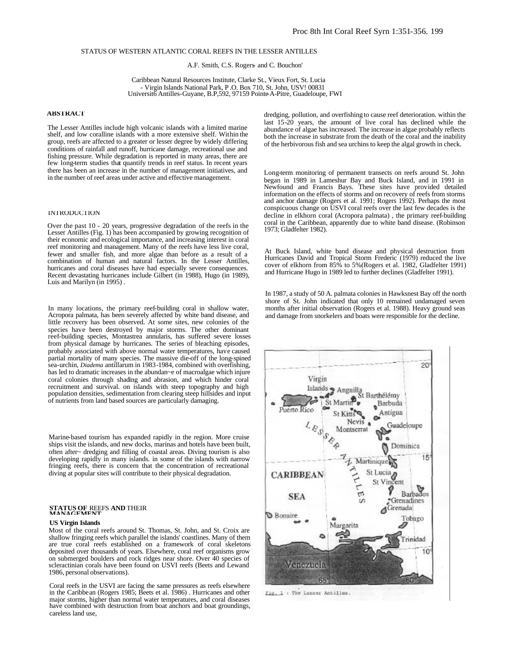# STATUS OF WESTERN ATLANTIC CORAL REEFS IN THE LESSER ANTILLES

A.F. Smith, C.S. Rogers- and C. Bouchon'

Caribbean Natural Resources Institute, Clarke St., Vieux Fort, St. Lucia - Virgin Islands National Park, P .O. Box 710, St. John, USV! 00831 Universit6 Antilles-Guyane, B.P,592, 97159 Pointe-A-Pitre, Guadeloupe, FWI

# **ABSTRACT**

The Lesser Antilles include high volcanic islands with a limited marine shelf, and low coralline islands with a more extensive shelf. Within the group, reefs are affected to a greater or lesser degree by widely differing conditions of rainfall and runoff, hurricane damage, recreational use and fishing pressure. While degradation is reported in many areas, there are few long-term studies that quantify trends in reef status. In recent years there has been an increase in the number of management initiatives, and in the number of reef areas under active and effective management.

# INTRODUCTION

Over the past 10 - 20 years, progressive degradation of the reefs in the Lesser Antilles (Fig. 1) has been accompanied by growing recognition of their economic and ecological importance, and increasing interest in coral reef monitoring and management. Many of the reefs have less live coral, fewer and smaller fish, and more algae than before as a result of a combination of human and natural factors. In the Lesser Antilles, hurricanes and coral diseases have had especially severe consequences. Recent devastating hurricanes include Gilbert (in 1988), Hugo (in 1989), Luis and Marilyn (in 1995) .

In many locations, the primary reef-building coral in shallow water, Acropora palmata, has been severely affected by white band disease, and little recovery has been observed. At some sites, new colonies of the species have been destroyed by major storms. The other dominant reef-building species, Montastrea annularis, has suffered severe losses from physical damage by hurricanes. The series of bleaching episodes, probably associated with above normal water temperatures, have caused partial mortality of many species. The massive die-off of the long-spined sea-urchin, *Diadema* antillarum in 1983-1984, combined with overfishing, has led to dramatic increases in the abundan~e of macroalgae which injure coral colonies through shading and abrasion, and which hinder coral recruitment and survival. on islands with steep topography and high population densities, sedimentation from clearing steep hillsides and input of nutrients from land based sources are particularly damaging.

Marine-based tourism has expanded rapidly in the region. More cruise ships visit the islands, and new docks, marinas and hotels have been built, often after~ dredging and filling of coastal areas. Diving tourism is also developing rapidly in many islands. in some of the islands with narrow fringing reefs, there is concern that the concentration of recreational diving at popular sites will contribute to their physical degradation.

# **STATUS OF** REEFS **AND** THEIR **MANAGEMENT**

### **US Virgin Islands**

Most of the coral reefs around St. Thomas, St. John, and St. Croix are shallow fringing reefs which parallel the islands' coastlines. Many of them are true coral reefs established on a framework of coral skeletons deposited over thousands of years. Elsewhere, coral reef organisms grow on submerged boulders and rock ridges near shore. Over 40 species of scleractinian corals have been found on USVI reefs (Beets and Lewand 1986, personal observations).

Coral reefs in the USVI are facing the same pressures as reefs elsewhere in the Caribbean (Rogers 1985; Beets et al. 1986) . Hurricanes and other major storms, higher than normal water temperatures, and coral diseases have combined with destruction from boat anchors and boat groundings, careless land use,

dredging, pollution, and overfishing to cause reef deterioration. within the last 15-20 years, the amount of live coral has declined while the abundance of algae has increased. The increase in algae probably reflects both the increase in substrate from the death of the coral and the inability of the herbivorous fish and sea urchins to keep the algal growth in check.

Long-term monitoring of permanent transects on reefs around St. John began in 1989 in Lameshur Bay and Buck Island, and in 1991 in Newfound and Francis Bays. These sites have provided detailed information on the effects of storms and on recovery of reefs from storms and anchor damage (Rogers et al. 1991; Rogers 1992). Perhaps the most conspicuous change on USVI coral reefs over the last few decades is the decline in elkhorn coral (Acropora palmata) , the primary reef-building coral in the Caribbean, apparently due to white band disease. (Robinson 1973; Gladfelter 1982).

At Buck Island, white band disease and physical destruction from Hurricanes David and Tropical Storm Frederic (1979) reduced the live cover of elkhorn from 85% to 5%(Rogers et al. 1982, Gladfelter 1991) and Hurricane Hugo in 1989 led to further declines (Gladfelter 1991).

In 1987, a study of 50 A. palmata colonies in Hawksnest Bay off the north shore of St. John indicated that only 10 remained undamaged seven months after initial observation (Rogers et al. 1988). Heavy ground seas and damage from snorkelers and boats were responsible for the decline.

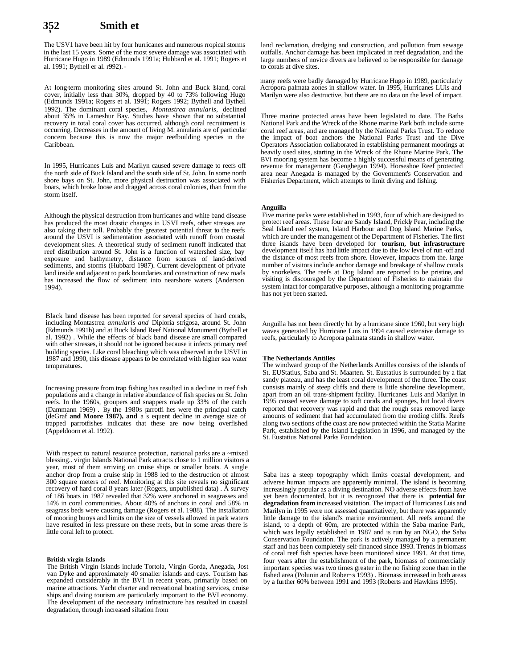#### **Smith et al.**

The USV1 have been hit by four hurricanes and numerous rropical storms in the last 15 years. Some of the most severe damage was associated with Hurricane Hugo in 1989 (Edmunds 1991a; Hubbard et al. 1991; Rogers et al. 1991; Bythell er al. r992). -

At long-term monitoring sites around St. John and Buck Island, coral cover, initially less than 30%, dropped by 40 to 73% following Hugo (Edmunds 1991a; Rogers et al. 1991; Rogers 1992; Bythell and Bythell 1992). The dominant coral species, *Montastrea annularis,* declined about 35% in Lameshur Bay. Studies have shown that no substantial recovery in total coral cover has occurred, although coral recruitment is occurring. Decreases in the amount of living M. annularis are of particular concern because this is now the major reefbuilding species in the Caribbean.

In 1995, Hurricanes Luis and Marilyn caused severe damage to reefs off the north side of Buck Island and the south side of St. John. In some north shore bays on St. John, more physical destruction was associated with boars, which broke loose and dragged across coral colonies, than from the storm itself.

Although the physical destruction from hurricanes and white band disease has produced the most drastic changes in USVI reefs, other stresses are also taking their toll. Probably the greatest potential threat to the reefs around the USVI is sedimentation associated with runoff from coastal development sites. A theoretical study of sediment runoff indicated that reef distribution around St. John is a function of watershed size, bay exposure and bathymetry, distance from sources of land-derived sediments, and storms (Hubbard 1987). Current development of private land inside and adjacent to park boundaries and construction of new roads has increased the flow of sediment into nearshore waters (Anderson 1994).

Black band disease has been reported for several species of hard corals, including Montastrea *annularis and* Diploria strigosa, around St. John (Edmunds 1991b) and at Buck Island Reef National Monument (Bythell et al. 1992) . While the effects of black band disease are small compared with other stresses, it should not be ignored because it infects primary reef building species. Like coral bleaching which was observed in the USVI in 1987 and 1990, this disease appears to be correlated with higher sea water temperatures.

Increasing pressure from trap fishing has resulted in a decline in reef fish populations and a change in relative abundance of fish species on St. John reefs. In the 1960s, groupers and snappers made up 33% of the catch (Dammann 1969) . By the 1980s parrotfi hes were the principal catch (deGraf **and Moore 1987), and** a s equent decline in average size of trapped parrotfishes indicates that these are now being overfished (Appeldoorn et al. 1992).

With respect to natural resource protection, national parks are a ~mixed blessing.. virgin Islands National Park attracts close to 1 million visitors a year, most of them arriving on cruise ships or smaller boats. A single anchor drop from a cruise ship in 1988 led to the destruction of almost 300 square meters of reef. Monitoring at this site reveals no significant recovery of hard coral 8 years later (Rogers, unpublished data) . A survey of 186 boats in 1987 revealed that 32% were anchored in seagrasses and 14% in coral communities. About 40% of anchors in coral and 58% in seagrass beds were causing damage (Rogers et al. 1988). The installation of mooring buoys and limits on the size of vessels allowed in park waters have resulted in less pressure on these reefs, but in some areas there is little coral left to protect.

### **British virgin Islands**

The British Virgin Islands include Tortola, Virgin Gorda, Anegada, Jost van Dyke and approximately 40 smaller islands and cays. Tourism has expanded considerably in the BV1 in recent years, primarily based on marine attractions. Yacht charter and recreational boating services, cruise ships and diving tourism are particularly important to the BVI economy. The development of the necessary infrastructure has resulted in coastal degradation, through increased siltation from

land reclamation, dredging and construction, and pollution from sewage outfalls. Anchor damage has been implicated in reef degradation, and the large numbers of novice divers are believed to be responsible for damage to corals at dive sites.

many reefs were badly damaged by Hurricane Hugo in 1989, particularly Acropora palmata zones in shallow water. In 1995, Hurricanes LUis and Marilyn were also destructive, but there are no data on the level of impact.

Three marine protected areas have been legislated to date. The Baths National Park and the Wreck of the Rhone marine Park both include some coral reef areas, and are managed by the National Parks Trust. To reduce the impact of boat anchors the National Parks Trust and the Dive Operators Association collaborated in establishing permanent moorings at heavily used sites, starting in the Wreck of the Rhone Marine Park. The BVI mooring system has become a highly successful means of generating revenue for management (Geoghegan 1994). Horseshoe Reef protected area near Anegada is managed by the Government's Conservation and Fisheries Department, which attempts to limit diving and fishing.

### **Anguilla**

Five marine parks were established in 1993, four of which are designed to protect reef areas. These four are Sandy Island, Prickly Pear, including the Seal Island reef system, Island Harbour and Dog Island Marine Parks, which are under the management of the Department of Fisheries. The first three islands have been developed for **tourism, but infrastructure** development itself has had little impact due to the low level of run -off and the distance of most reefs from shore. However, impacts from the. large number of visitors include anchor damage and breakage of shallow corals by snorkelers. The reefs at Dog Island are reported to be pristine, and visiting is discouraged by the Department of Fisheries to maintain the system intact for comparative purposes, although a monitoring programme has not yet been started.

Anguilla has not been directly hit by a hurricane since 1960, but very high waves generated by Hurricane Luis in 1994 caused extensive damage to reefs, particularly to Acropora palmata stands in shallow water.

### **The Netherlands Antilles**

The windward group of the Netherlands Antilles consists of the islands of St. EUStatius, Saba and St. Maarten. St. Eustatius is surrounded by a flat sandy plateau, and has the least coral development of the three. The coast consists mainly of steep cliffs and there is little shoreline development, apart from an oil trans-shipment facility. Hurricanes Luis and Marilyn in 1995 caused severe damage to soft corals and sponges, but local divers reported that recovery was rapid and that the rough seas removed large amounts of sediment that had accumulated from the eroding cliffs. Reefs along two sections of the coast are now protected within the Statia Marine Park, established by the Island Legislation in 1996, and managed by the St. Eustatius National Parks Foundation.

Saba has a steep topography which limits coastal development, and adverse human impacts are apparently minimal. The island is becoming increasingly popular as a diving destination. NO adverse effects from have yet been documented, but it is recognized that there is **potential for degradation from** increased visitation. The impact of Hurricanes Luis and Marilyn in 1995 were not assessed quantitatively, but there was apparently little damage to the island's marine environment. All reefs around the island, to a depth of 60m, are protected within the Saba marine Park, which was legally established in 1987 and is run by an NGO, the Saba Conservation Foundation. The park is actively managed by a permanent staff and has been completely self-financed since 1993. Trends in biomass of coral reef fish species have been monitored since 1991. At that time, four years after the establishment of the park, biomass of commercially important species was two times greater in the no fishing zone than in the fished area (Polunin and Rober~s 1993) . Biomass increased in both areas by a further 60% between 1991 and 1993 (Roberts and Hawkins 1995).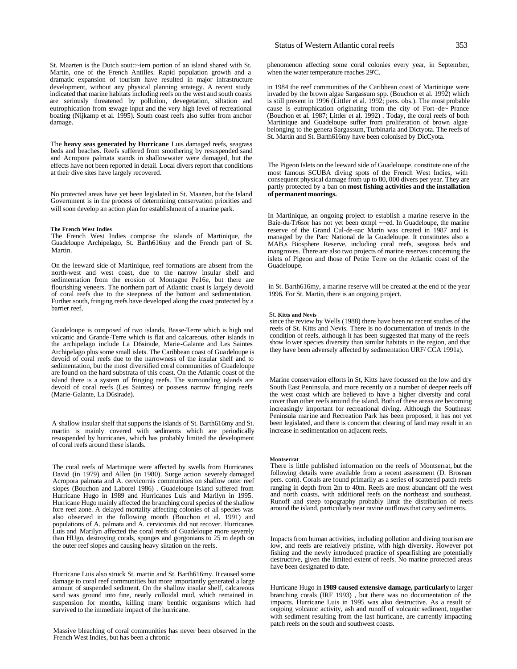St. Maarten is the Dutch sout::~iern portion of an island shared with St. Martin, one of the French Antilles. Rapid population growth and a dramatic expansion of tourism have resulted in major infrastructure development, without any physical planning srrategy. A recent study indicated that marine habitats including reefs on the west and south coasts are seriously threatened by pollution, devegetation, siltation and eutrophication from sewage input and the very high level of recreational boating (Nijkamp et al. 1995). South coast reefs also suffer from anchor damage.

The **heavy seas generated by Hurricane** Luis damaged reefs, seagrass beds and beaches. Reefs suffered from smothering by resuspended sand and Acropora palmata stands in shallowwater were damaged, but the effects have not been reported in detail. Local divers report that conditions at their dive sites have largely recovered.

No protected areas have yet been legislated in St. Maarten, but the Island Government is in the process of determining conservation priorities and will soon develop an action plan for establishment of a marine park.

# **The French West Indies**

The French West Indies comprise the islands of Martinique, the Guadeloupe Archipelago, St. Barth616my and the French part of St. Martin.

On the leeward side of Martinique, reef formations are absent from the north-west and west coast, due to the narrow insular shelf and sedimentation from the erosion of Montagne Pe16e, but there are flourishing veneers. The northern part of Atlantic coast is largely devoid of coral reefs due to the steepness of the bottom and sedimentation. Further south, fringing reefs have developed along the coast protected by a barrier reef,

Guadeloupe is composed of two islands, Basse-Terre which is high and volcanic and Grande-Terre which is flat and calcareous. other islands in the archipelago include La D6sirade, Marie-Galante and Les Saintes Archipelago plus some small islets. The Caribbean coast of Guadeloupe is devoid of coral reefs due to the narrowness of the insular shelf and to sedimentation, but the most diversified coral communities of Guadeloupe are found on the hard substrata of this coast. On the Atlantic coast of the island there is a system of fringing reefs. The surrounding islands are devoid of coral reefs (Les Saintes) or possess narrow fringing reefs (Marie-Galante, La D6sirade).

A shallow insular shelf that supports the islands of St. Barth616my and St. martin is mainly covered with sediments which are periodically resuspended by hurricanes, which has probably limited the development of coral reefs around these islands.

The coral reefs of Martinique were affected by swells from Hurricanes David (in 1979) and Allen (in 1980). Surge action severely damaged Acropora palmata and A. cervicornis communities on shallow outer reef slopes (Bouchon and Laborel 1986) . Guadeloupe Island suffered from Hurricane Hugo in 1989 and Hurricanes Luis and Marilyn in 1995. Hurricane Hugo mainly affected the branching coral species of the shallow fore reef zone. A delayed mortality affecting colonies of all species was also observed in the following month (Bouchon et al. 1991) and populations of A. palmata and A. cervicornis did not recover. Hurricanes Luis and Marilyn affected the coral reefs of Guadeloupe more severely than HUgo, destroying corals, sponges and gorgonians to 25 m depth on the outer reef slopes and causing heavy siltation on the reefs.

Hurricane Luis also struck St. martin and St. Barth616my. It caused some damage to coral reef communities but more importantly generated a large amount of suspended sediment. On the shallow insular shelf, calcareous sand was ground into fine, nearly colloidal mud, which remained in suspension for months, killing many benthic organisms which had survived to the immediate impact of the hurricane.

Massive bleaching of coral communities has never been observed in the French West Indies, but has been a chronic

phenomenon affecting some coral colonies every year, in September, when the water temperature reaches 29'C.

in 1984 the reef communities of the Caribbean coast of Martinique were invaded by the brown algae Sargassum spp. (Bouchon et al. 1992) which is still present in 1996 (Littler et al. 1992; pers. obs.). The most probable cause is eutrophication originating from the city of Fort -de~ Prance (Bouchon et al. 1987; Littler et al. 1992) . Today, the coral reefs of both Martinique and Guadeloupe suffer from proliferation of brown algae belonging to the genera Sargassum, Turbinaria and Dictyota. The reefs of St. Martin and St. Barth616my have been colonised by DicCyota.

The Pigeon Islets on the leeward side of Guadeloupe, constitute one of the most famous SCUBA diving spots of the French West Indies, with consequent physical damage from up to 80, 000 divers per year. They are partly protected by a ban on **most fishing activities and the installation of permanent moorings.**

In Martinique, an ongoing project to establish a marine reserve in the Baie-du-Tr6sor has not yet been compl ~~ed. In Guadeloupe, the marine reserve of the Grand Cul-de-sac Marin was created in 1987 and is managed by the Parc National de la Guadeloupe. It constitutes also a MAB,s Biosphere Reserve, including coral reefs, seagrass beds and mangroves. There are also two projects of marine reserves concerning the islets of Pigeon and those of Petite Terre on the Atlantic coast of the Guadeloupe.

in St. Barth616my, a marine reserve will be created at the end of the year 1996. For St. Martin, there is an ongoing project.

### St. **Kitts and Nevis**

since the review by Wells (1988) there have been no recent studies of the reefs of St. Kitts and Nevis. There is no documentation of trends in the condition of reefs, although it has been suggested that many of the reefs show lower species diversity than similar habitats in the region, and that they have been adversely affected by sedimentation URF/ CCA 1991a).

Marine conservation efforts in St, Kitts have focussed on the low and dry South East Peninsula, and more recently on a number of deeper reefs off the west coast which are believed to have a higher diversity and coral cover than other reefs around the island. Both of these areas are becoming increasingly important for recreational diving. Although the Southeast Peninsula marine and Recreation Park has been proposed, it has not yet been legislated, and there is concern that clearing of land may result in an increase in sedimentation on adjacent reefs.

### **Montserrat**

There is little published information on the reefs of Montserrat, but the following details were available from a recent assessment (D. Brosnan pers. com). Corals are found primarily as a series of scattered patch reefs ranging in depth from 2m to 40m. Reefs are most abundant off the west and north coasts, with additional reefs on the northeast and southeast. Runoff and steep topography probably limit the distribution of reefs around the island, particularly near ravine outflows that carry sediments.

Impacts from human activities, including pollution and diving tourism are low, and reefs are relatively pristine, with high diversity. However pot fishing and the newly introduced practice of spearfishing are potentially destructive, given the limited extent of reefs. No marine protected areas have been designated to date.

Hurricane Hugo in **1989 caused extensive damage, particularly** to larger branching corals (IRF 1993) , but there was no documentation of the impacts. Hurricane Luis in 1995 was also destructive. As a result of ongoing volcanic activity, ash and runoff of volcanic sediment, together with sediment resulting from the last hurricane, are currently impacting patch reefs on the south and southwest coasts.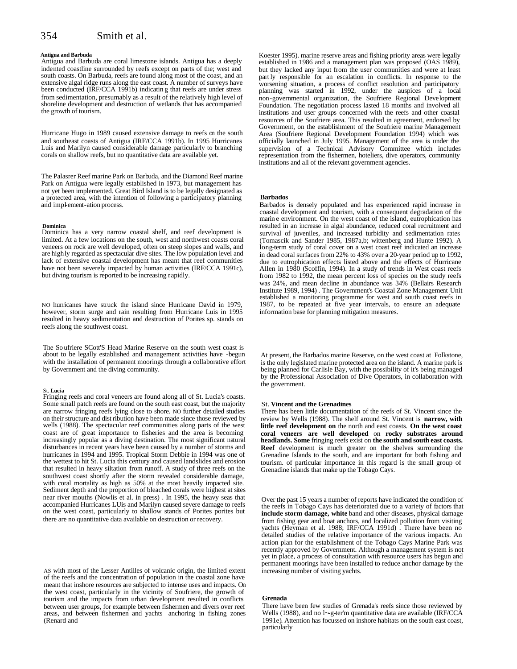# 354 Smith et al.

### **Antigua and Barbuda**

Antigua and Barbuda are coral limestone islands. Antigua has a deeply indented coastline surrounded by reefs except on parts of the; west and south coasts. On Barbuda, reefs are found along most of the coast, and an extensive algal ridge runs along the east coast. A number of surveys have been conducted (IRF/CCA 1991b) indicating that reefs are under stress from sedimentation, presumably as a result of the relatively high level of shoreline development and destruction of wetlands that has accompanied the growth of tourism.

Hurricane Hugo in 1989 caused extensive damage to reefs on the south and southeast coasts of Antigua (IRF/CCA 1991b). In 1995 Hurricanes Luis and Marilyn caused considerable damage particularly to branching corals on shallow reefs, but no quantitative data are available yet.

The Palasrer Reef marine Park on Barbuda, and the Diamond Reef marine Park on Antigua were legally established in 1973, but management has not yet been implemented. Great Bird Island is to be legally designated as a protected area, with the intention of following a participatory planning and impl-ement-ation process.

### **Dominica**

Dominica has a very narrow coastal shelf, and reef development is limited. At a few locations on the south, west and northwest coasts coral veneers on rock are well developed, often on steep slopes and walls, and are highly regarded as spectacular dive sites. The low population level and lack of extensive coastal development has meant that reef communities have not been severely impacted by human activities (IRF/CCA 1991c), but diving tourism is reported to be increasing rapidly.

NO hurricanes have struck the island since Hurricane David in 1979, however, storm surge and rain resulting from Hurricane Luis in 1995 resulted in heavy sedimentation and destruction of Porites sp. stands on reefs along the southwest coast.

The So ufriere SCott'S Head Marine Reserve on the south west coast is about to be legally established and management activities have -begun with the installation of permanent moorings through a collaborative effort by Government and the diving community.

### St. **Lucia**

Fringing reefs and coral veneers are found along all of St. Lucia's coasts. Some small patch reefs are found on the south east coast, but the majority are narrow fringing reefs lying close to shore. NO further detailed studies on their structure and dist ribution have been made since those reviewed by wells (1988). The spectacular reef communities along parts of the west coast are of great importance to fisheries and the area is becoming increasingly popular as a diving destination. The most significant natural disturbances in recent years have been caused by a number of storms and hurricanes in 1994 and 1995. Tropical Storm Debbie in 1994 was one of the wettest to hit St. Lucia this century and caused landslides and erosion that resulted in heavy siltation from runoff. A study of three reefs on the southwest coast shortly after the storm revealed considerable damage, with coral mortality as high as 50% at the most heavily impacted site. Sediment depth and the proportion of bleached corals were highest at sites near river mouths (Nowlis et al. in press) . In 1995, the heavy seas that accompanied Hurricanes LUis and Marilyn caused severe damage to reefs on the west coast, particularly to shallow stands of Porites porites but there are no quantitative data available on destruction or recovery.

AS with most of the Lesser Antilles of volcanic origin, the limited extent of the reefs and the concentration of population in the coastal zone have meant that inshore resources are subjected to intense uses and impacts. On the west coast, particularly in the vicinity of Soufriere, the growth of tourism and the impacts from urban development resulted in conflicts between user groups, for example between fishermen and divers over reef areas, and between fishermen and yachts anchoring in fishing zones (Renard and

Koester 1995). marine reserve areas and fishing priority areas were legally established in 1986 and a management plan was proposed (OAS 1989), but they lacked any input from the user communities and were at least part ly responsible for an escalation in conflicts. In response to the worsening situation, a process of conflict resolution and participatory planning was started in 1992, under the auspices of a local non-governmental organization, the Soufriere Regional Development Foundation. The negotiation process lasted 18 months and involved all institutions and user groups concerned with the reefs and other coastal resources of the Soufriere area. This resulted in agreement, endorsed by Government, on the establishment of the Soufriere marine Management Area (Soufriere Regional Development Foundation 1994) which was officially launched in July 1995. Management of the area is under the supervision of a Technical Advisory Committee which includes representation from the fishermen, hoteliers, dive operators, community institutions and all of the relevant government agencies.

### **Barbados**

Barbados is densely populated and has experienced rapid increase in coastal development and tourism, with a consequent degradation of the marin e environment. On the west coast of the island, eutrophication has resulted in an increase in algal abundance, reduced coral recruitment and survival of juveniles, and increased turbidity and sedimentation rates (Tomascik and Sander 1985, 1987a,b; wittenberg and Hunte 1992). A long-term study of coral cover on a west coast reef indicated an increase in dead coral surfaces from 22% to 43% over a 20-year period up to 1992, due to eutrophication effects listed above and the effects of Hurricane Allen in 1980 (Scoffin, 1994). In a study of trends in West coast reefs from 1982 to 1992, the mean percent loss of species on the study reefs was 24%, and mean decline in abundance was 34% (Bellairs Research Institute 1989, 1994) . The Government's Coastal Zone Management Unit established a monitoring programme for west and south coast reefs in 1987, to be repeated at five year intervals, to ensure an adequate information base for planning mitigation measures.

At present, the Barbados marine Reserve, on the west coast at Folkstone, is the only legislated marine protected area on the island. A marine park is being planned for Carlisle Bay, with the possibility of it's being managed by the Professional Association of Dive Operators, in collaboration with the government.

### St. **Vincent and the Grenadines**

There has been little documentation of the reefs of St. Vincent since the review by Wells (1988). The shelf around St. Vincent is **narrow, with little reef development on** the north and east coasts. **On the west coast coral veneers are well developed** on **rocky substrates around headlands. Some** fringing reefs exist on **the south and south east coasts. Reef** development is much greater on the shelves surrounding the Grenadine Islands to the south, and are important for both fishing and tourism. of particular importance in this regard is the small group of Grenadine islands that make up the Tobago Cays.

Over the past 15 years a number of reports have indicated the condition of the reefs in Tobago Cays has deteriorated due to a variety of factors that **include storm damage, white** band and other diseases, physical damage from fishing gear and boat anchors, and localized pollution from visiting yachts (Heyman et al. 1988; IRF/CCA 1991d). There have been no detailed studies of the relative importance of the various impacts. An action plan for the establishment of the Tobago Cays Marine Park was recently approved by Government. Although a management system is not yet in place, a process of consultation with resource users has begun and permanent moorings have been installed to reduce anchor damage by the increasing number of visiting yachts.

### **Grenada**

There have been few studies of Grenada's reefs since those reviewed by Wells (1988), and no l~g-ter'm quantitative data are available (IRF/CCA 1991e). Attention has focussed on inshore habitats on the south east coast, particularly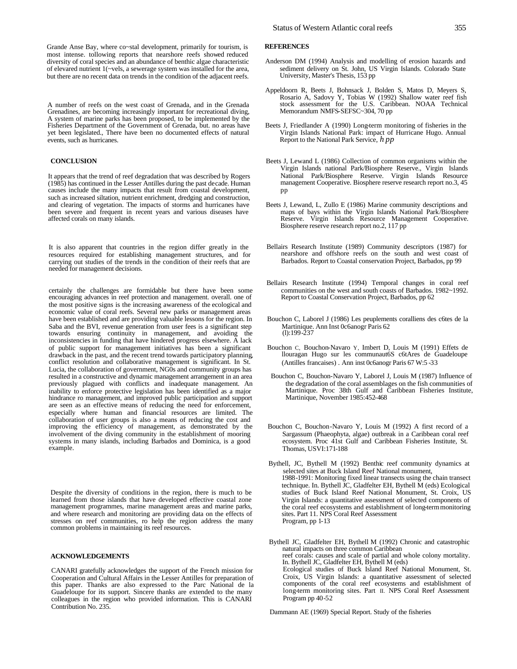A number of reefs on the west coast of Grenada, and in the Grenada Grenadines, are becoming increasingly important for recreational diving, A system of marine parks has been proposed, to be implemented by the Fisheries Department of the Government of Grenada, but. no areas have yet been legislated., There have been no documented effects of natural events, such as hurricanes.

# **CONCLUSION**

It appears that the trend of reef degradation that was described by Rogers (1985) has continued in the Lesser Antilles during the past decade. Human causes include the many impacts that result from coastal development, such as increased siltation, nutrient enrichment, dredging and construction, and clearing of vegetation. The impacts of storms and hurricanes have been severe and frequent in recent years and various diseases have affected corals on many islands.

It is also apparent that countries in the region differ greatly in the resources required for establishing management structures, and for carrying out studies of the trends in the condition of their reefs that are needed for management decisions.

certainly the challenges are formidable but there have been some encouraging advances in reef protection and management. overall. one of the most positive signs is the increasing awareness of the ecological and economic value of coral reefs. Several new parks or management areas have been established and are providing valuable lessons for the region. In Saba and the BVI, revenue generation from user fees is a significant step towards ensuring continuity in management, and avoiding the inconsistencies in funding that have hindered progress elsewhere. A lack of public support for management initiatives has been a significant drawback in the past, and the recent trend towards participatory planning, conflict resolution and collaborative management is significant. In St. Lucia, the collaboration of government, NG0s and community groups has resulted in a constructive and dynamic management arrangement in an area previously plagued with conflicts and inadequate management. An inability to enforce protective legislation has been identified as a major hindrance ro management, and improved public participation and support are seen as an effective means of reducing the need for enforcement, especially where human and financial resources are limited. The collaboration of user groups is also a means of reducing the cost and improving the efficiency of management, as demonstrated by the involvement of the diving community in the establishment of mooring systems in many islands, including Barbados and Dominica, is a good example.

Despite the diversity of conditions in the region, there is much to be learned from those islands that have developed effective coastal zone management programmes, marine management areas and marine parks, and where research and monitoring are providing data on the effects of stresses on reef communities, ro help the region address the many common problems in maintaining its reef resources.

# **ACKNOWLEDGEMENTS**

CANARI gratefully acknowledges the support of the French mission for Cooperation and Cultural Affairs in the Lesser Antilles for preparation of this paper. Thanks are also expressed to the Parc National de la Guadeloupe for its support. Sincere thanks are extended to the many colleagues in the region who provided information. This is CANARI Contribution No. 235.

# **REFERENCES**

- Anderson DM (1994) Analysis and modelling of erosion hazards and sediment delivery on St. John, US Virgin Islands. Colorado State University, Master's Thesis, 153 pp
- Appeldoorn R, Beets J, Bohnsack J, Bolden S, Matos D, Meyers S, Rosario A, Sadovy Y, Tobias W (1992) Shallow water reef fish stock assessment for the U.S. Caribbean. NOAA Technical Memorandum NMFS-SEFSC~304, 70 pp
- Beets J, Friedlander A (1990) Long-term monitoring of fisheries in the Virgin Islands National Park: impact of Hurricane Hugo. Annual Report to the National Park Service, *h pp*
- Beets J, Lewand L (1986) Collection of common organisms within the Virgin Islands national Park/Biosphere Reserve., Virgin Islands National Park/Biosphere Reserve. Virgin Islands Resource management Cooperative. Biosphere reserve research report no.3, 45 pp
- Beets J, Lewand, L, Zullo E (1986) Marine community descriptions and maps of bays within the Virgin Islands National Park/Biosphere Reserve. Virgin Islands Resource Management Cooperative. Biosphere reserve research report no.2, 117 pp
- Bellairs Research Institute (1989) Community descriptors (1987) for nearshore and offshore reefs on the south and west coast of Barbados. Report to Coastal conservation Project, Barbados, pp 99
- Bellairs Research Institute (1994) Temporal changes in coral reef communities on the west and south coasts of Barbados. 1982~1992. Report to Coastal Conservation Project, Barbados, pp 62
- Bouchon C, Laborel J (1986) Les peuplements coralliens des c6tes de la Martinique. Ann Inst 0c6anogr Paris 62 (l):199-237
- Bouchon C, Bouchon-Navaro Y, Imbert D, Louis M (1991) Effets de llouragan Hugo sur les communaut6S c6tAres de Guadeloupe (Antilles francaises) . Ann inst 0c6anogr Paris 67 W:5 -33
- Bouchon C, Bouchon-Navaro Y, Laborel J, Louis M (1987) Influence of the degradation of the coral assemblages on the fish communities of Martinique. Proc 38th Gulf and Caribbean Fisheries Institute, Martinique, November 1985:452-468
- Bouchon C, Bouchon-Navaro Y, Louis M (1992) A first record of a Sargassum (Phaeophyta, algae) outbreak in a Caribbean coral reef ecosystem. Proc 41st Gulf and Caribbean Fisheries Institute, St. Thomas, USVI:171-188
- Bythell, JC, Bythell M (1992) Benthic reef community dynamics at selected sites at Buck Island Reef National monument, 1988-1991: Monitoring fixed linear transects using the chain transect technique. In. Bythell JC, Gladfelter EH, Bythell M (eds) Ecological studies of Buck Island Reef National Monument, St. Croix, US Virgin Islands: a quantitative assessment of selected components of the coral reef ecosystems and establishment of long-term monitoring sites. Part 11. NPS Coral Reef Assessment Program, pp 1-13
- Bythell JC, Gladfelter EH, Bythell M (1992) Chronic and catastrophic natural impacts on three common Caribbean reef corals: causes and scale of partial and whole colony mortality. In. Bythell JC, Gladfelter EH, Bythell M (eds) Ecological studies of Buck Island Reef National Monument, St. Croix, US Virgin Islands: a quantitative assessment of selected components of the coral reef ecosystems and establishment of long-term monitoring sites. Part II. NPS Coral Reef Assessment Program pp 40-52

Dammann AE (1969) Special Report. Study of the fisheries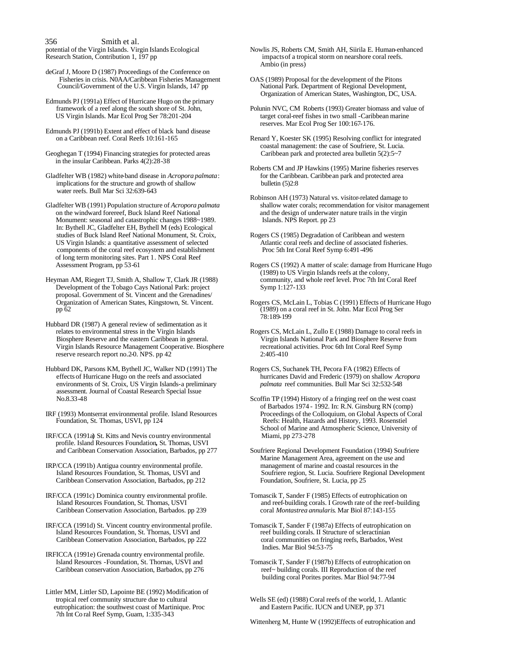356 Smith et al.<br>potential of the Virgin Islands. Virgin Islands Ecological

deGraf J, Moore D (1987) Proceedings of the Conference on Fisheries in crisis. N0AA/Caribbean Fisheries Management OAS (1989) Proposal for the development of the Pitons<br>Council/Government of the U.S. Virgin Islands, 147 pp National Park. Department of Regional Development, Council/Government of the U.S. Virgin Islands, 147 pp

Edmunds PJ (1991a) Effect of Hurricane Hugo on the primary framework of a reef along the south shore of St. John, US Virgin Islands. Mar Ecol Prog Ser 78:201-204

Edmunds PJ (1991b) Extent and effect of black band disease

Geoghegan T (1994) Financing strategies for protected areas in the insular Caribbean. Parks 4(2):28-38

Gladfelter WB (1982) white-band disease in *Acropora palmata*: implications for the structure and growth of shallow bulletin (5)2:8 water reefs. Bull Mar Sci 32:639-643

on the windward forereef, Buck Island Reef National and the design of underwater nature trails in the virgin<br>Monument: seasonal and catastrophic changes 1988~1989. Islands. NPS Report. pp 23 Monument: seasonal and catastrophic changes 1988~1989. In: Bythell JC, Gladfelter EH, Bythell M (eds) Ecological studies of Buck Island Reef National Monument, St. Croix, Rogers CS (1985) Degradation of Caribbean and western<br>US Virgin Islands: a quantitative assessment of selected Atlantic coral reefs and decline of associated fisher US Virgin Islands: a quantitative assessment of selected Atlantic coral reefs and decline of association components of the coral reef ecosystem and establishment Proc 5th Int Coral Reef Symp 6:491-496 components of the coral reef ecosystem and establishment of long term monitoring sites. Part 1. NPS Coral Reef

Heyman AM, Riegert TJ, Smith A, Shallow T, Clark JR (1988) community, and Development of the Tobago Cays National Park: project Symp 1:127-133 Development of the Tobago Cays National Park: project proposal. Government of St. Vincent and the Grenadines/

Hubbard DR (1987) A general review of sedimentation as it relates to environmental stress in the Virgin Islands Biosphere Reserve and the eastern Caribbean in general. Virgin Islands National Park and Biosphere Reserve from Virgin Islands Resource Management Cooperative. Biosphere recreational activities. Proc 6th Int Coral Reef Symp reserve research report no.2-0. NPS. pp  $42$  2:405-410

Hubbard DK, Parsons KM, Bythell JC, Walker ND (1991) The Rogers CS, Suchanek TH, Pecora FA (1982) Effects of effects of Hurricane Hugo on the reefs and associated hurricanes David and Frederic (1979) on shallow Ac environments of St. Croix, US Virgin Islands-a preliminary assessment. Journal of Coastal Research Special Issue

IRF/CCA (1991a**)** St. Kitts and Nevis country environmental Miami, pp 273-278 profile. Island Resources Foundation**,** St. Thomas, USVI

IRP/CCA (1991b) Antigua country environmental profile. management of marine and coastal resources in the Island Resources Foundation, St. Thomas, USVI and Soufriere region, St. Lucia. Soufriere Regional Dev Caribbean Conservation Association, Barbados, pp 212 Foundation, Soufriere, St. Lucia, pp 25

IRF/CCA (1991c) Dominica country environmental profile. Tomascik T, Sander F (1985) Effects of eutrophication on Island Resources Foundation, St. Thomas, USVI and reef-building corals. I Growth rate of the reef-building Caribbean Conservation Association, Barbados. pp 239

IRF/CCA (1991d) St. Vincent country environmental profile. Tomascik T, Sander F (1987a) Effects of eutrophication on Island Resources Foundation, St. Thomas, USVI and reef building corals. II Structure of scleractinian Island Resources Foundation, St. Thornas, USVI and Caribbean Conservation Association, Barbados, pp 222 coral communities on fringing reefs, Barbados, West

IRFICCA (1991e) Grenada country environmental profile. Caribbean conservation Association, Barbados, pp 276 reef~ building corals. III Reproduction of the reef

Littler MM, Littler SD, Lapointe BE (1992) Modification of eutrophication: the southwest coast of Martinique. Proc 7th Int Co ral Reef Symp, Guam, 1:335-343

potential of the Virgin Islands. Virgin Islands Ecological Nowlis JS, Roberts CM, Smith AH, Siirila E. Human-enhanced<br>Research Station, Contribution 1, 197 pp<br>Research Station, Contribution 1, 197 pp impacts of a tropical storm on nearshore coral reefs. Ambio (in press)

Organization of American States, Washington, DC, USA.

Folunin NVC, CM Roberts (1993) Greater biomass and value of target coral-reef fishes in two small -Caribbean marine reserves. Mar Ecol Prog Ser 100:167-176.

Renard Y, Koester SK (1995) Resolving conflict for integrated coastal management: the case of Soufriere, St. Lucia.<br>Caribbean park and protected area bulletin 5(2):5~7

Roberts CM and JP Hawkins (1995) Marine fisheries reserves for the Caribbean. Caribbean park and protected area

Robinson AH (1973) Natural vs. visitor-related damage to Gladfelter WB (1991) Population structure of *Acropora palmata* shallow water corals; recommendation for visitor management

Rogers CS (1992) A matter of scale: damage from Hurricane Hugo (1989) to US Virgin Islands reefs at the colony,

Organization of American States, Kingstown, St. Vincent. Rogers CS, McLain L, Tobias C (1991) Effects of Hurricane Hugo pp 62 (1989) on a coral reef in St. John. Mar Ecol Prog Ser 78:189-199

Rogers CS, McLain L, Zullo E (1988) Damage to coral reefs in

hurricanes David and Frederic (1979) on shallow *Acropora*<br>palmata reef communities. Bull Mar Sci 32:532-548

Scoffin TP (1994) History of a fringing reef on the west coast of Barbados 1974 - 1992. In: R.N. Ginsburg RN (comp) IRF (1993) Montserrat environmental profile. Island Resources Proceedings of the Colloquium, on Global Aspects of Coral Reefs: Health, Hazards and History, 1993. Rosenstiel School of Marine and Atmospheric Science, University of

> Soufriere Regional Development Foundation (1994) Soufriere Marine Management Area, agreement on the use and Soufriere region, St. Lucia. Soufriere Regional Development

and reef-building corals. I Growth rate of the reef-building coral *Montastrea annularis*. Mar Biol 87:143-155

Indies. Mar Biol 94:53-75

Tomascik T, Sander F (1987b) Effects of eutrophication on building coral Porites porites. Mar Biol 94:77-94

Wells SE (ed) (1988) Coral reefs of the world, 1. Atlantic and Eastern Pacific. IUCN and UNEP, pp 371

Wittenherg M, Hunte W (1992)Effects of eutrophication and